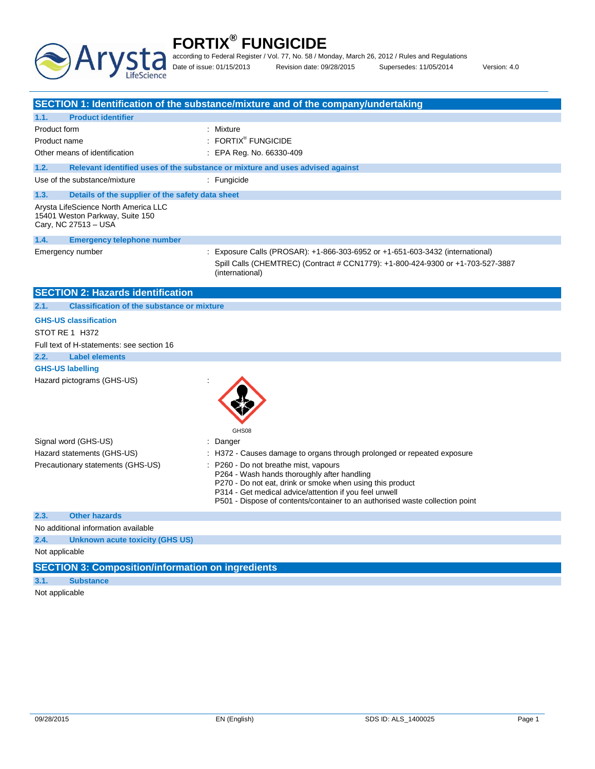

according to Federal Register / Vol. 77, No. 58 / Monday, March 26, 2012 / Rules and Regulations

Date of issue: 01/15/2013 Revision date: 09/28/2015 Supersedes: 11/05/2014 Version: 4.0

|                                                                                                 | SECTION 1: Identification of the substance/mixture and of the company/undertaking                                                                                                                                                                                                           |  |  |
|-------------------------------------------------------------------------------------------------|---------------------------------------------------------------------------------------------------------------------------------------------------------------------------------------------------------------------------------------------------------------------------------------------|--|--|
| <b>Product identifier</b><br>1.1.                                                               |                                                                                                                                                                                                                                                                                             |  |  |
| Product form                                                                                    | : Mixture                                                                                                                                                                                                                                                                                   |  |  |
| Product name                                                                                    | : FORTIX <sup>®</sup> FUNGICIDE                                                                                                                                                                                                                                                             |  |  |
| Other means of identification                                                                   | : EPA Reg. No. 66330-409                                                                                                                                                                                                                                                                    |  |  |
| 1.2.                                                                                            | Relevant identified uses of the substance or mixture and uses advised against                                                                                                                                                                                                               |  |  |
| Use of the substance/mixture                                                                    | : Fungicide                                                                                                                                                                                                                                                                                 |  |  |
|                                                                                                 |                                                                                                                                                                                                                                                                                             |  |  |
| Details of the supplier of the safety data sheet<br>1.3.                                        |                                                                                                                                                                                                                                                                                             |  |  |
| Arvsta LifeScience North America LLC<br>15401 Weston Parkway, Suite 150<br>Cary, NC 27513 - USA |                                                                                                                                                                                                                                                                                             |  |  |
| 1.4.<br><b>Emergency telephone number</b>                                                       |                                                                                                                                                                                                                                                                                             |  |  |
| Emergency number                                                                                | : Exposure Calls (PROSAR): +1-866-303-6952 or +1-651-603-3432 (international)<br>Spill Calls (CHEMTREC) (Contract # CCN1779): +1-800-424-9300 or +1-703-527-3887<br>(international)                                                                                                         |  |  |
| <b>SECTION 2: Hazards identification</b>                                                        |                                                                                                                                                                                                                                                                                             |  |  |
| <b>Classification of the substance or mixture</b><br>2.1.                                       |                                                                                                                                                                                                                                                                                             |  |  |
| <b>GHS-US classification</b>                                                                    |                                                                                                                                                                                                                                                                                             |  |  |
| STOT RE 1 H372                                                                                  |                                                                                                                                                                                                                                                                                             |  |  |
| Full text of H-statements: see section 16                                                       |                                                                                                                                                                                                                                                                                             |  |  |
| <b>Label elements</b><br>2.2.                                                                   |                                                                                                                                                                                                                                                                                             |  |  |
| <b>GHS-US labelling</b>                                                                         |                                                                                                                                                                                                                                                                                             |  |  |
| Hazard pictograms (GHS-US)                                                                      | GHS08                                                                                                                                                                                                                                                                                       |  |  |
| Signal word (GHS-US)                                                                            | : Danger                                                                                                                                                                                                                                                                                    |  |  |
| Hazard statements (GHS-US)                                                                      | : H372 - Causes damage to organs through prolonged or repeated exposure                                                                                                                                                                                                                     |  |  |
| Precautionary statements (GHS-US)                                                               | : P260 - Do not breathe mist, vapours<br>P264 - Wash hands thoroughly after handling<br>P270 - Do not eat, drink or smoke when using this product<br>P314 - Get medical advice/attention if you feel unwell<br>P501 - Dispose of contents/container to an authorised waste collection point |  |  |
| <b>Other hazards</b><br>2.3.                                                                    |                                                                                                                                                                                                                                                                                             |  |  |
| No additional information available                                                             |                                                                                                                                                                                                                                                                                             |  |  |
| 2.4.<br><b>Unknown acute toxicity (GHS US)</b>                                                  |                                                                                                                                                                                                                                                                                             |  |  |
| Not applicable                                                                                  |                                                                                                                                                                                                                                                                                             |  |  |
| <b>SECTION 3: Composition/information on ingredients</b>                                        |                                                                                                                                                                                                                                                                                             |  |  |
| 3.1.<br><b>Substance</b>                                                                        |                                                                                                                                                                                                                                                                                             |  |  |
| Not applicable                                                                                  |                                                                                                                                                                                                                                                                                             |  |  |
|                                                                                                 |                                                                                                                                                                                                                                                                                             |  |  |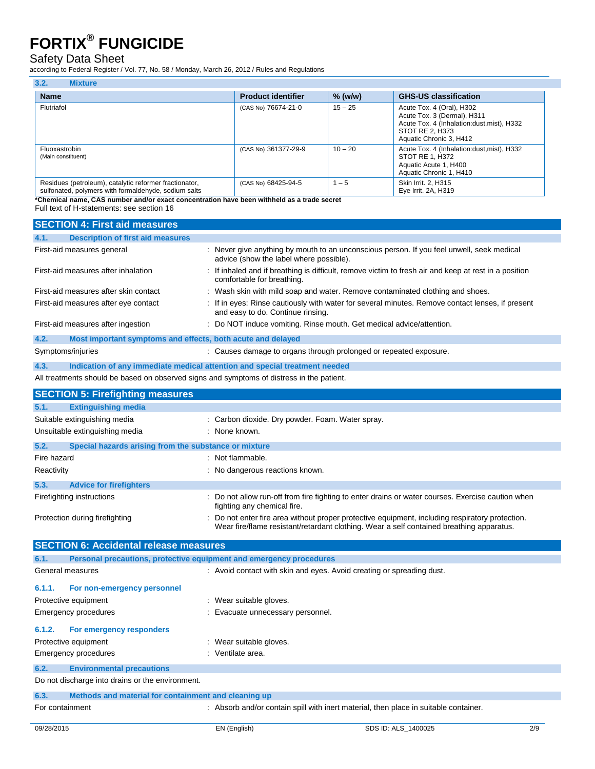### Safety Data Sheet

according to Federal Register / Vol. 77, No. 58 / Monday, March 26, 2012 / Rules and Regulations

| 3.2.<br><b>Mixture</b>                                                                                         |                           |           |                                                                                                                                                       |
|----------------------------------------------------------------------------------------------------------------|---------------------------|-----------|-------------------------------------------------------------------------------------------------------------------------------------------------------|
| <b>Name</b>                                                                                                    | <b>Product identifier</b> | $%$ (w/w) | <b>GHS-US classification</b>                                                                                                                          |
| Flutriafol                                                                                                     | (CAS No) 76674-21-0       | $15 - 25$ | Acute Tox. 4 (Oral), H302<br>Acute Tox. 3 (Dermal), H311<br>Acute Tox. 4 (Inhalation: dust, mist), H332<br>STOT RE 2. H373<br>Aquatic Chronic 3, H412 |
| Fluoxastrobin<br>(Main constituent)                                                                            | (CAS No) 361377-29-9      | $10 - 20$ | Acute Tox. 4 (Inhalation: dust, mist), H332<br>STOT RE 1, H372<br>Aquatic Acute 1, H400<br>Aquatic Chronic 1, H410                                    |
| Residues (petroleum), catalytic reformer fractionator,<br>sulfonated, polymers with formaldehyde, sodium salts | (CAS No) 68425-94-5       | $1 - 5$   | Skin Irrit. 2. H315<br>Eve Irrit, 2A, H319                                                                                                            |

**\*Chemical name, CAS number and/or exact concentration have been withheld as a trade secret**

Full text of H-statements: see section 16

| <b>SECTION 4: First aid measures</b>                                                      |                                                                                                                                                                                             |  |  |
|-------------------------------------------------------------------------------------------|---------------------------------------------------------------------------------------------------------------------------------------------------------------------------------------------|--|--|
| 4.1.<br><b>Description of first aid measures</b>                                          |                                                                                                                                                                                             |  |  |
| First-aid measures general                                                                | : Never give anything by mouth to an unconscious person. If you feel unwell, seek medical<br>advice (show the label where possible).                                                        |  |  |
| First-aid measures after inhalation                                                       | : If inhaled and if breathing is difficult, remove victim to fresh air and keep at rest in a position<br>comfortable for breathing.                                                         |  |  |
| First-aid measures after skin contact                                                     | : Wash skin with mild soap and water. Remove contaminated clothing and shoes.                                                                                                               |  |  |
| First-aid measures after eye contact                                                      | : If in eyes: Rinse cautiously with water for several minutes. Remove contact lenses, if present<br>and easy to do. Continue rinsing.                                                       |  |  |
| First-aid measures after ingestion                                                        | : Do NOT induce vomiting. Rinse mouth. Get medical advice/attention.                                                                                                                        |  |  |
| 4.2.<br>Most important symptoms and effects, both acute and delayed                       |                                                                                                                                                                                             |  |  |
| Symptoms/injuries                                                                         | : Causes damage to organs through prolonged or repeated exposure.                                                                                                                           |  |  |
| 4.3.<br>Indication of any immediate medical attention and special treatment needed        |                                                                                                                                                                                             |  |  |
| All treatments should be based on observed signs and symptoms of distress in the patient. |                                                                                                                                                                                             |  |  |
| <b>SECTION 5: Firefighting measures</b>                                                   |                                                                                                                                                                                             |  |  |
| 5.1.<br><b>Extinguishing media</b>                                                        |                                                                                                                                                                                             |  |  |
| Suitable extinguishing media                                                              | : Carbon dioxide. Dry powder. Foam. Water spray.                                                                                                                                            |  |  |
| Unsuitable extinguishing media                                                            | : None known.                                                                                                                                                                               |  |  |
| 5.2.<br>Special hazards arising from the substance or mixture                             |                                                                                                                                                                                             |  |  |
| Fire hazard                                                                               | : Not flammable.                                                                                                                                                                            |  |  |
| Reactivity                                                                                | : No dangerous reactions known.                                                                                                                                                             |  |  |
| 5.3.<br><b>Advice for firefighters</b>                                                    |                                                                                                                                                                                             |  |  |
| Firefighting instructions                                                                 | : Do not allow run-off from fire fighting to enter drains or water courses. Exercise caution when<br>fighting any chemical fire.                                                            |  |  |
| Protection during firefighting                                                            | : Do not enter fire area without proper protective equipment, including respiratory protection.<br>Wear fire/flame resistant/retardant clothing. Wear a self contained breathing apparatus. |  |  |
| <b>SECTION 6: Accidental release measures</b>                                             |                                                                                                                                                                                             |  |  |
| Personal precautions, protective equipment and emergency procedures<br>6.1.               |                                                                                                                                                                                             |  |  |
| General measures                                                                          | : Avoid contact with skin and eyes. Avoid creating or spreading dust.                                                                                                                       |  |  |
| 6.1.1.<br>For non-emergency personnel                                                     |                                                                                                                                                                                             |  |  |
| Protective equipment                                                                      | : Wear suitable gloves.                                                                                                                                                                     |  |  |
| <b>Emergency procedures</b>                                                               | : Evacuate unnecessary personnel.                                                                                                                                                           |  |  |
| 6.1.2.<br>For emergency responders                                                        |                                                                                                                                                                                             |  |  |
| Protective equipment                                                                      | : Wear suitable gloves.                                                                                                                                                                     |  |  |
| <b>Emergency procedures</b>                                                               | : Ventilate area.                                                                                                                                                                           |  |  |
| 6.2.<br><b>Environmental precautions</b>                                                  |                                                                                                                                                                                             |  |  |
| Do not discharge into drains or the environment.                                          |                                                                                                                                                                                             |  |  |
| Methods and material for containment and cleaning up<br>6.3.                              |                                                                                                                                                                                             |  |  |
| For containment                                                                           | : Absorb and/or contain spill with inert material, then place in suitable container.                                                                                                        |  |  |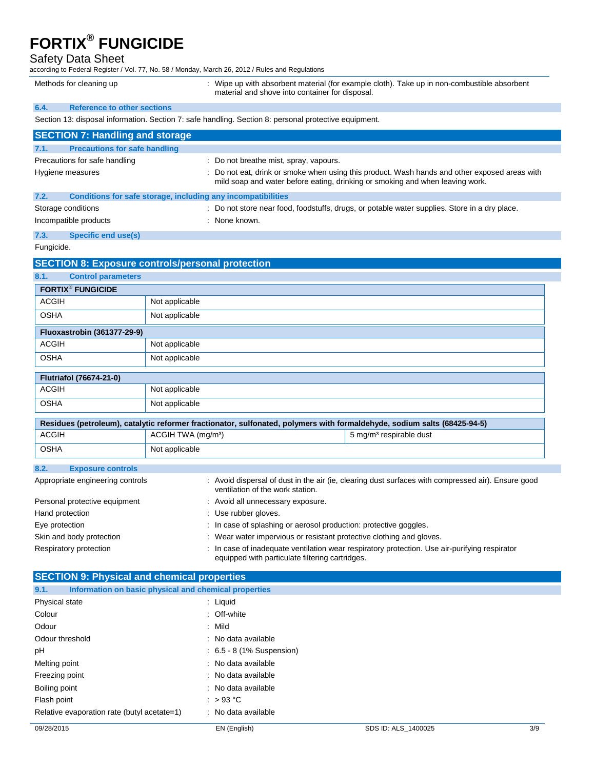Safety Data Sheet

according to Federal Register / Vol. 77, No. 58 / Monday, March 26, 2012 / Rules and Regulations

Methods for cleaning up **included to the CO** : Wipe up with absorbent material (for example cloth). Take up in non-combustible absorbent material and shove into container for disposal.

### **6.4. Reference to other sections**

Section 13: disposal information. Section 7: safe handling. Section 8: personal protective equipment.

| <b>SECTION 7: Handling and storage</b>                                                           |                                |                                                              |                                                                                                                                                                                |
|--------------------------------------------------------------------------------------------------|--------------------------------|--------------------------------------------------------------|--------------------------------------------------------------------------------------------------------------------------------------------------------------------------------|
|                                                                                                  |                                |                                                              |                                                                                                                                                                                |
| <b>Precautions for safe handling</b><br>7.1.                                                     |                                |                                                              |                                                                                                                                                                                |
| Precautions for safe handling                                                                    |                                | : Do not breathe mist, spray, vapours.                       |                                                                                                                                                                                |
| Hygiene measures                                                                                 |                                |                                                              | : Do not eat, drink or smoke when using this product. Wash hands and other exposed areas with<br>mild soap and water before eating, drinking or smoking and when leaving work. |
| 7.2.                                                                                             |                                | Conditions for safe storage, including any incompatibilities |                                                                                                                                                                                |
| Storage conditions                                                                               |                                |                                                              | : Do not store near food, foodstuffs, drugs, or potable water supplies. Store in a dry place.                                                                                  |
| Incompatible products                                                                            |                                | : None known.                                                |                                                                                                                                                                                |
| 7.3.<br><b>Specific end use(s)</b>                                                               |                                |                                                              |                                                                                                                                                                                |
| Fungicide.                                                                                       |                                |                                                              |                                                                                                                                                                                |
| <b>SECTION 8: Exposure controls/personal protection</b>                                          |                                |                                                              |                                                                                                                                                                                |
| 8.1.<br><b>Control parameters</b>                                                                |                                |                                                              |                                                                                                                                                                                |
| <b>FORTIX<sup>®</sup> FUNGICIDE</b>                                                              |                                |                                                              |                                                                                                                                                                                |
| <b>ACGIH</b>                                                                                     | Not applicable                 |                                                              |                                                                                                                                                                                |
| <b>OSHA</b>                                                                                      | Not applicable                 |                                                              |                                                                                                                                                                                |
| <b>Fluoxastrobin (361377-29-9)</b>                                                               |                                |                                                              |                                                                                                                                                                                |
| <b>ACGIH</b>                                                                                     | Not applicable                 |                                                              |                                                                                                                                                                                |
| <b>OSHA</b>                                                                                      | Not applicable                 |                                                              |                                                                                                                                                                                |
| <b>Flutriafol (76674-21-0)</b>                                                                   |                                |                                                              |                                                                                                                                                                                |
| <b>ACGIH</b>                                                                                     | Not applicable                 |                                                              |                                                                                                                                                                                |
| <b>OSHA</b>                                                                                      | Not applicable                 |                                                              |                                                                                                                                                                                |
|                                                                                                  |                                |                                                              | Residues (petroleum), catalytic reformer fractionator, sulfonated, polymers with formaldehyde, sodium salts (68425-94-5)                                                       |
| <b>ACGIH</b>                                                                                     | ACGIH TWA (mg/m <sup>3</sup> ) |                                                              | 5 mg/m <sup>3</sup> respirable dust                                                                                                                                            |
| <b>OSHA</b>                                                                                      | Not applicable                 |                                                              |                                                                                                                                                                                |
| 8.2.<br><b>Exposure controls</b>                                                                 |                                |                                                              |                                                                                                                                                                                |
| Appropriate engineering controls                                                                 |                                | ventilation of the work station.                             | : Avoid dispersal of dust in the air (ie, clearing dust surfaces with compressed air). Ensure good                                                                             |
| Personal protective equipment<br>: Avoid all unnecessary exposure.                               |                                |                                                              |                                                                                                                                                                                |
| : Use rubber gloves.<br>Hand protection                                                          |                                |                                                              |                                                                                                                                                                                |
| : In case of splashing or aerosol production: protective goggles.<br>Eye protection              |                                |                                                              |                                                                                                                                                                                |
| : Wear water impervious or resistant protective clothing and gloves.<br>Skin and body protection |                                |                                                              |                                                                                                                                                                                |
| Respiratory protection                                                                           |                                | equipped with particulate filtering cartridges.              | : In case of inadequate ventilation wear respiratory protection. Use air-purifying respirator                                                                                  |

| <b>SECTION 9: Physical and chemical properties</b>            |                             |  |  |  |
|---------------------------------------------------------------|-----------------------------|--|--|--|
| Information on basic physical and chemical properties<br>9.1. |                             |  |  |  |
| Physical state                                                | : Liquid                    |  |  |  |
| Colour                                                        | : Off-white                 |  |  |  |
| Odour                                                         | : Mild                      |  |  |  |
| Odour threshold                                               | : No data available         |  |  |  |
| pH                                                            | $: 6.5 - 8 (1%$ Suspension) |  |  |  |
| Melting point                                                 | : No data available         |  |  |  |
| Freezing point                                                | : No data available         |  |  |  |
| Boiling point                                                 | : No data available         |  |  |  |
| Flash point                                                   | : $>93^{\circ}$ C           |  |  |  |
| Relative evaporation rate (butyl acetate=1)                   | : No data available         |  |  |  |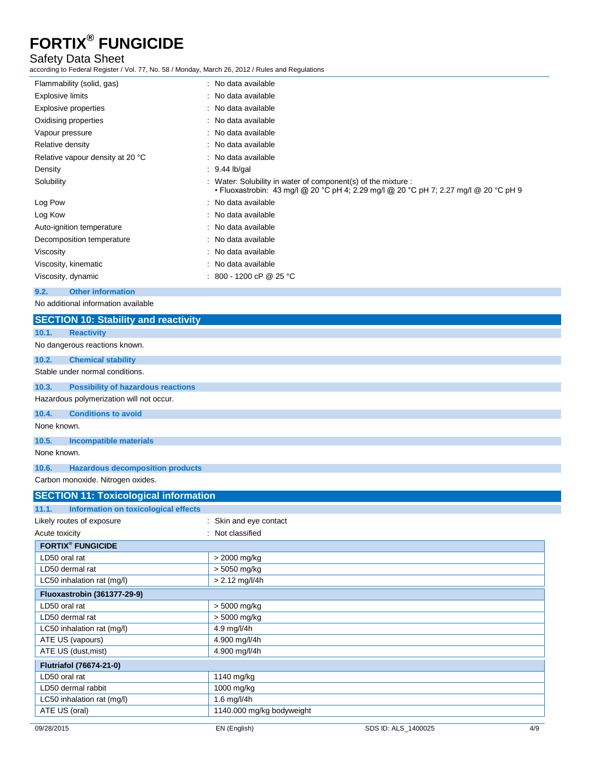### Safety Data Sheet

according to Federal Register / Vol. 77, No. 58 / Monday, March 26, 2012 / Rules and Regulations

| Flammability (solid, gas)        | : No data available                                                                                                                                    |
|----------------------------------|--------------------------------------------------------------------------------------------------------------------------------------------------------|
| Explosive limits                 | : No data available                                                                                                                                    |
| <b>Explosive properties</b>      | : No data available                                                                                                                                    |
| Oxidising properties             | : No data available                                                                                                                                    |
| Vapour pressure                  | : No data available                                                                                                                                    |
| Relative density                 | : No data available                                                                                                                                    |
| Relative vapour density at 20 °C | : No data available                                                                                                                                    |
| Density                          | $: 9.44$ lb/gal                                                                                                                                        |
| Solubility                       | : Water: Solubility in water of component(s) of the mixture :<br>• Fluoxastrobin: 43 mg/l @ 20 °C pH 4; 2.29 mg/l @ 20 °C pH 7; 2.27 mg/l @ 20 °C pH 9 |
| Log Pow                          | : No data available                                                                                                                                    |
| Log Kow                          | : No data available                                                                                                                                    |
| Auto-ignition temperature        | : No data available                                                                                                                                    |
| Decomposition temperature        | : No data available                                                                                                                                    |
| Viscosity                        | : No data available                                                                                                                                    |
| Viscosity, kinematic             | : No data available                                                                                                                                    |
| Viscosity, dynamic               | : 800 - 1200 cP @ 25 °C                                                                                                                                |
|                                  |                                                                                                                                                        |

### **9.2. Other information**

No additional information available

| <b>SECTION 10: Stability and reactivity</b>        |                           |                     |     |
|----------------------------------------------------|---------------------------|---------------------|-----|
| <b>Reactivity</b><br>10.1.                         |                           |                     |     |
| No dangerous reactions known.                      |                           |                     |     |
| 10.2.<br><b>Chemical stability</b>                 |                           |                     |     |
| Stable under normal conditions.                    |                           |                     |     |
| 10.3.<br><b>Possibility of hazardous reactions</b> |                           |                     |     |
| Hazardous polymerization will not occur.           |                           |                     |     |
| 10.4.<br><b>Conditions to avoid</b>                |                           |                     |     |
| None known.                                        |                           |                     |     |
| 10.5.<br><b>Incompatible materials</b>             |                           |                     |     |
| None known.                                        |                           |                     |     |
| <b>Hazardous decomposition products</b><br>10.6.   |                           |                     |     |
| Carbon monoxide. Nitrogen oxides.                  |                           |                     |     |
| <b>SECTION 11: Toxicological information</b>       |                           |                     |     |
| Information on toxicological effects<br>11.1.      |                           |                     |     |
| Likely routes of exposure                          | : Skin and eye contact    |                     |     |
| Acute toxicity                                     | Not classified            |                     |     |
| <b>FORTIX® FUNGICIDE</b>                           |                           |                     |     |
| LD50 oral rat                                      | > 2000 mg/kg              |                     |     |
| LD50 dermal rat                                    | > 5050 mg/kg              |                     |     |
| LC50 inhalation rat (mg/l)                         | $> 2.12$ mg/l/4h          |                     |     |
| <b>Fluoxastrobin (361377-29-9)</b>                 |                           |                     |     |
| LD50 oral rat                                      | > 5000 mg/kg              |                     |     |
| LD50 dermal rat                                    | > 5000 mg/kg              |                     |     |
| LC50 inhalation rat (mg/l)                         | 4.9 mg/l/4h               |                     |     |
| ATE US (vapours)                                   | 4.900 mg/l/4h             |                     |     |
| ATE US (dust, mist)                                | 4.900 mg/l/4h             |                     |     |
| Flutriafol (76674-21-0)                            |                           |                     |     |
| LD50 oral rat                                      | 1140 mg/kg                |                     |     |
| LD50 dermal rabbit                                 | 1000 mg/kg                |                     |     |
| LC50 inhalation rat (mg/l)                         | 1.6 mg/l/4h               |                     |     |
| ATE US (oral)                                      | 1140.000 mg/kg bodyweight |                     |     |
| 09/28/2015                                         | EN (English)              | SDS ID: ALS 1400025 | 4/9 |
|                                                    |                           |                     |     |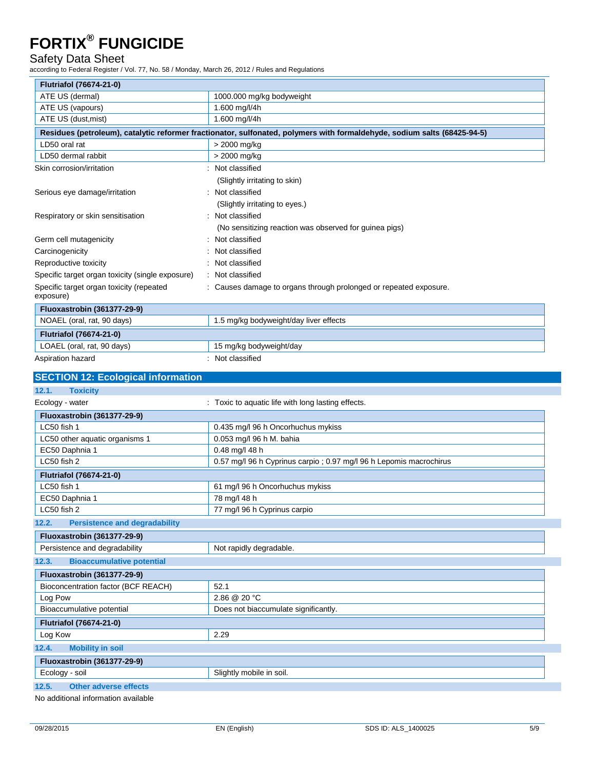### Safety Data Sheet

according to Federal Register / Vol. 77, No. 58 / Monday, March 26, 2012 / Rules and Regulations

| ccording to Federal Register / Vol. 77, No. 58 / Monday, March 26, 2012 / Rules and Regulations |                                                                                                                          |
|-------------------------------------------------------------------------------------------------|--------------------------------------------------------------------------------------------------------------------------|
| Flutriafol (76674-21-0)                                                                         |                                                                                                                          |
| ATE US (dermal)                                                                                 | 1000.000 mg/kg bodyweight                                                                                                |
| ATE US (vapours)                                                                                | 1.600 mg/l/4h                                                                                                            |
| ATE US (dust, mist)                                                                             | 1.600 mg/l/4h                                                                                                            |
|                                                                                                 | Residues (petroleum), catalytic reformer fractionator, sulfonated, polymers with formaldehyde, sodium salts (68425-94-5) |
| LD50 oral rat                                                                                   | > 2000 mg/kg                                                                                                             |
| LD50 dermal rabbit                                                                              | > 2000 mg/kg                                                                                                             |
| Skin corrosion/irritation                                                                       | : Not classified                                                                                                         |
|                                                                                                 | (Slightly irritating to skin)                                                                                            |
| Serious eye damage/irritation                                                                   | : Not classified                                                                                                         |
|                                                                                                 | (Slightly irritating to eyes.)                                                                                           |
| Respiratory or skin sensitisation                                                               | : Not classified                                                                                                         |
|                                                                                                 | (No sensitizing reaction was observed for guinea pigs)                                                                   |
| Germ cell mutagenicity                                                                          | Not classified                                                                                                           |
| Carcinogenicity                                                                                 | Not classified                                                                                                           |
| Reproductive toxicity                                                                           | Not classified                                                                                                           |
| Specific target organ toxicity (single exposure)                                                | Not classified                                                                                                           |
| Specific target organ toxicity (repeated<br>exposure)                                           | : Causes damage to organs through prolonged or repeated exposure.                                                        |
| <b>Fluoxastrobin (361377-29-9)</b>                                                              |                                                                                                                          |
| NOAEL (oral, rat, 90 days)                                                                      | 1.5 mg/kg bodyweight/day liver effects                                                                                   |
| <b>Flutriafol (76674-21-0)</b>                                                                  |                                                                                                                          |
| LOAEL (oral, rat, 90 days)                                                                      | 15 mg/kg bodyweight/day                                                                                                  |
| Aspiration hazard                                                                               | : Not classified                                                                                                         |
| <b>SECTION 12: Ecological information</b>                                                       |                                                                                                                          |
| 12.1.<br><b>Toxicity</b>                                                                        |                                                                                                                          |
| Ecology - water                                                                                 | : Toxic to aquatic life with long lasting effects.                                                                       |
| <b>Fluoxastrobin (361377-29-9)</b>                                                              |                                                                                                                          |
| LC50 fish 1                                                                                     | 0.435 mg/l 96 h Oncorhuchus mykiss                                                                                       |
| LC50 other aquatic organisms 1                                                                  | 0.053 mg/l 96 h M. bahia                                                                                                 |
| EC50 Daphnia 1                                                                                  | 0.48 mg/l 48 h                                                                                                           |
| LC50 fish 2                                                                                     | 0.57 mg/l 96 h Cyprinus carpio; 0.97 mg/l 96 h Lepomis macrochirus                                                       |
| Flutriafol (76674-21-0)                                                                         |                                                                                                                          |
| LC50 fish 1                                                                                     | 61 mg/l 96 h Oncorhuchus mykiss                                                                                          |
| EC50 Daphnia 1                                                                                  | 78 mg/l 48 h                                                                                                             |
| LC50 fish 2                                                                                     | 77 mg/l 96 h Cyprinus carpio                                                                                             |
| 12.2.<br><b>Persistence and degradability</b>                                                   |                                                                                                                          |
| <b>Fluoxastrobin (361377-29-9)</b>                                                              |                                                                                                                          |
| Persistence and degradability                                                                   | Not rapidly degradable.                                                                                                  |

**12.3. Bioaccumulative potential Fluoxastrobin (361377-29-9)**

| Bioconcentration factor (BCF REACH)   | 52.1                                 |
|---------------------------------------|--------------------------------------|
| Log Pow                               | $2.86 \ @ \ 20 \ ^{\circ}C$          |
| Bioaccumulative potential             | Does not biaccumulate significantly. |
| <b>Flutriafol (76674-21-0)</b>        |                                      |
| Log Kow                               | 2.29                                 |
| 12.4.<br><b>Mobility in soil</b>      |                                      |
| <b>Fluoxastrobin (361377-29-9)</b>    |                                      |
| Ecology - soil                        | Slightly mobile in soil.             |
| 12.5.<br><b>Other adverse effects</b> |                                      |

No additional information available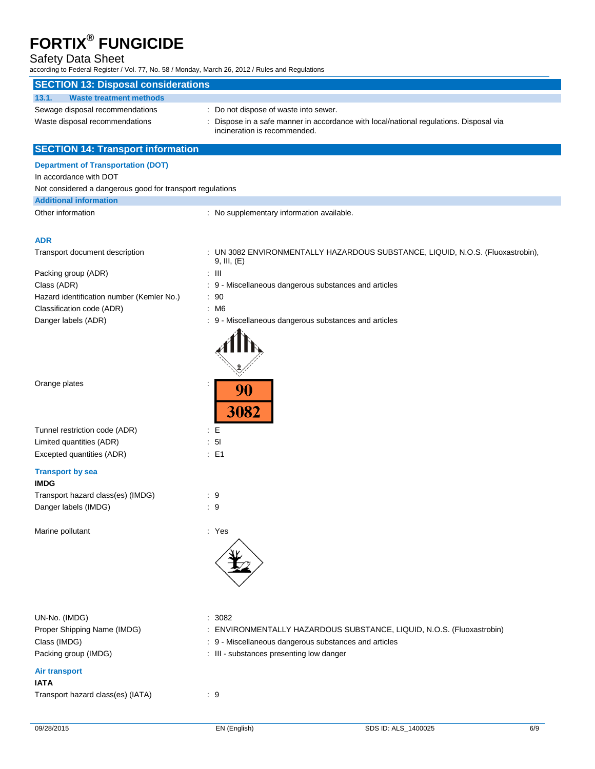### Safety Data Sheet

according to Federal Register / Vol. 77, No. 58 / Monday, March 26, 2012 / Rules and Regulations

| <b>SECTION 13: Disposal considerations</b>                |                                                                                      |
|-----------------------------------------------------------|--------------------------------------------------------------------------------------|
| 13.1.<br><b>Waste treatment methods</b>                   |                                                                                      |
| Sewage disposal recommendations                           | : Do not dispose of waste into sewer.                                                |
| Waste disposal recommendations                            | Dispose in a safe manner in accordance with local/national regulations. Disposal via |
|                                                           | incineration is recommended.                                                         |
| <b>SECTION 14: Transport information</b>                  |                                                                                      |
| <b>Department of Transportation (DOT)</b>                 |                                                                                      |
| In accordance with DOT                                    |                                                                                      |
| Not considered a dangerous good for transport regulations |                                                                                      |
| <b>Additional information</b>                             |                                                                                      |
| Other information                                         | : No supplementary information available.                                            |
|                                                           |                                                                                      |
| <b>ADR</b>                                                |                                                                                      |
| Transport document description                            | : UN 3082 ENVIRONMENTALLY HAZARDOUS SUBSTANCE, LIQUID, N.O.S. (Fluoxastrobin),       |
|                                                           | 9, III, (E)                                                                          |
| Packing group (ADR)                                       | : III                                                                                |
| Class (ADR)                                               | : 9 - Miscellaneous dangerous substances and articles                                |
| Hazard identification number (Kemler No.)                 | : 90                                                                                 |
| Classification code (ADR)                                 | : M6                                                                                 |
| Danger labels (ADR)                                       | : 9 - Miscellaneous dangerous substances and articles                                |
|                                                           |                                                                                      |
| Orange plates                                             | 90<br>3082                                                                           |
| Tunnel restriction code (ADR)                             | E                                                                                    |
| Limited quantities (ADR)                                  | : 51                                                                                 |
| Excepted quantities (ADR)                                 | $\therefore$ E1                                                                      |
| <b>Transport by sea</b><br><b>IMDG</b>                    |                                                                                      |
| Transport hazard class(es) (IMDG)                         | : 9                                                                                  |
| Danger labels (IMDG)                                      | 9                                                                                    |
|                                                           |                                                                                      |
| Marine pollutant                                          | : Yes                                                                                |
|                                                           |                                                                                      |
| UN-No. (IMDG)                                             | : 3082                                                                               |
| Proper Shipping Name (IMDG)                               | : ENVIRONMENTALLY HAZARDOUS SUBSTANCE, LIQUID, N.O.S. (Fluoxastrobin)                |
| Class (IMDG)                                              | : 9 - Miscellaneous dangerous substances and articles                                |
| Packing group (IMDG)                                      | : III - substances presenting low danger                                             |
|                                                           |                                                                                      |
| <b>Air transport</b><br><b>IATA</b>                       |                                                                                      |
| Transport hazard class(es) (IATA)                         | . 9                                                                                  |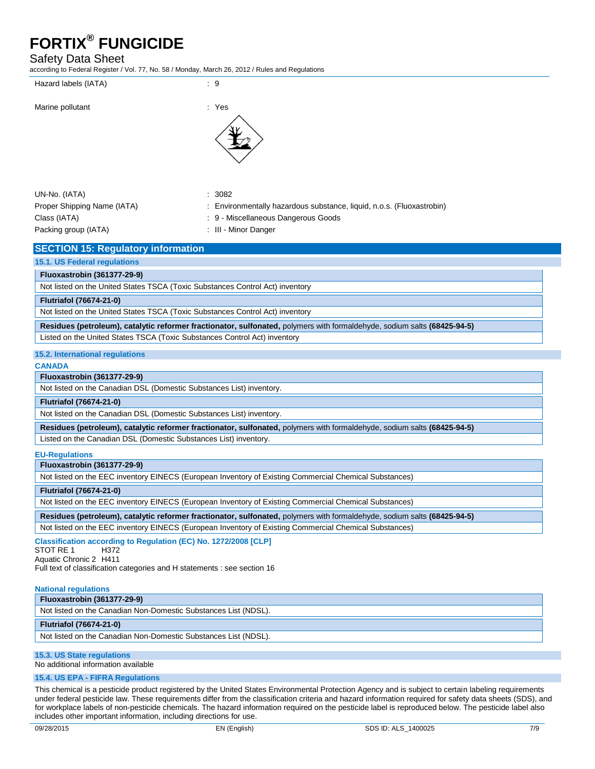### Safety Data Sheet

according to Federal Register / Vol. 77, No. 58 / Monday, March 26, 2012 / Rules and Regulations

| Hazard labels (IATA) |  |
|----------------------|--|
|                      |  |

#### Marine pollutant in the set of the set of the set of the set of the set of the set of the set of the set of the set of the set of the set of the set of the set of the set of the set of the set of the set of the set of the



| UN-No. (IATA)               | : 3082             |
|-----------------------------|--------------------|
| Proper Shipping Name (IATA) | : Envir            |
| Class (IATA)                | $\therefore$ 9 - M |
| Packing group (IATA)        | : III - N          |

- : Environmentally hazardous substance, liquid, n.o.s. (Fluoxastrobin)
- : 9 Miscellaneous Dangerous Goods

: III - Minor Danger

### **SECTION 15: Regulatory information**

#### **15.1. US Federal regulations**

**Fluoxastrobin (361377-29-9)**

Not listed on the United States TSCA (Toxic Substances Control Act) inventory

#### **Flutriafol (76674-21-0)**

Not listed on the United States TSCA (Toxic Substances Control Act) inventory

**Residues (petroleum), catalytic reformer fractionator, sulfonated,** polymers with formaldehyde, sodium salts **(68425-94-5)**

Listed on the United States TSCA (Toxic Substances Control Act) inventory

### **15.2. International regulations**

#### **CANADA**

#### **Fluoxastrobin (361377-29-9)**

Not listed on the Canadian DSL (Domestic Substances List) inventory.

#### **Flutriafol (76674-21-0)**

Not listed on the Canadian DSL (Domestic Substances List) inventory.

**Residues (petroleum), catalytic reformer fractionator, sulfonated,** polymers with formaldehyde, sodium salts **(68425-94-5)**

Listed on the Canadian DSL (Domestic Substances List) inventory.

#### **EU-Regulations**

#### **Fluoxastrobin (361377-29-9)**

Not listed on the EEC inventory EINECS (European Inventory of Existing Commercial Chemical Substances)

#### **Flutriafol (76674-21-0)**

Not listed on the EEC inventory EINECS (European Inventory of Existing Commercial Chemical Substances)

**Residues (petroleum), catalytic reformer fractionator, sulfonated,** polymers with formaldehyde, sodium salts **(68425-94-5)**

Not listed on the EEC inventory EINECS (European Inventory of Existing Commercial Chemical Substances)

#### **Classification according to Regulation (EC) No. 1272/2008 [CLP]**

STOT RE 1 H372 Aquatic Chronic 2 H411 Full text of classification categories and H statements : see section 16

#### **National regulations**

| <b>Fluoxastrobin (361377-29-9)</b>                              |
|-----------------------------------------------------------------|
| Not listed on the Canadian Non-Domestic Substances List (NDSL). |
| <b>Flutriafol (76674-21-0)</b>                                  |
| Not listed on the Canadian Non-Domestic Substances List (NDSL). |
|                                                                 |

### **15.3. US State regulations**

No additional information available

#### **15.4. US EPA - FIFRA Regulations**

This chemical is a pesticide product registered by the United States Environmental Protection Agency and is subject to certain labeling requirements under federal pesticide law. These requirements differ from the classification criteria and hazard information required for safety data sheets (SDS), and for workplace labels of non-pesticide chemicals. The hazard information required on the pesticide label is reproduced below. The pesticide label also includes other important information, including directions for use.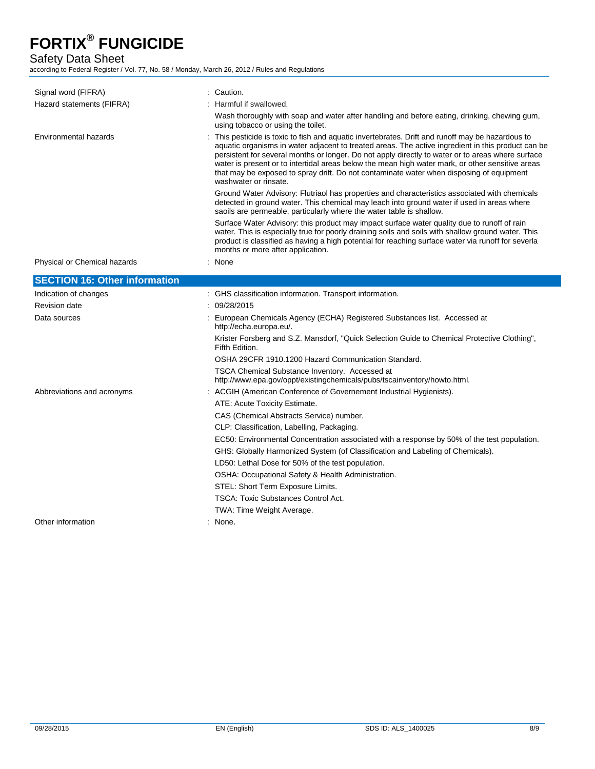Safety Data Sheet

according to Federal Register / Vol. 77, No. 58 / Monday, March 26, 2012 / Rules and Regulations

| Signal word (FIFRA)                  | : Caution.                                                                                                                                                                                                                                                                                                                                                                                                                                                                                                                          |
|--------------------------------------|-------------------------------------------------------------------------------------------------------------------------------------------------------------------------------------------------------------------------------------------------------------------------------------------------------------------------------------------------------------------------------------------------------------------------------------------------------------------------------------------------------------------------------------|
| Hazard statements (FIFRA)            | : Harmful if swallowed.                                                                                                                                                                                                                                                                                                                                                                                                                                                                                                             |
|                                      | Wash thoroughly with soap and water after handling and before eating, drinking, chewing gum,<br>using tobacco or using the toilet.                                                                                                                                                                                                                                                                                                                                                                                                  |
| Environmental hazards                | This pesticide is toxic to fish and aquatic invertebrates. Drift and runoff may be hazardous to<br>aquatic organisms in water adjacent to treated areas. The active ingredient in this product can be<br>persistent for several months or longer. Do not apply directly to water or to areas where surface<br>water is present or to intertidal areas below the mean high water mark, or other sensitive areas<br>that may be exposed to spray drift. Do not contaminate water when disposing of equipment<br>washwater or rinsate. |
|                                      | Ground Water Advisory: Flutriaol has properties and characteristics associated with chemicals<br>detected in ground water. This chemical may leach into ground water if used in areas where<br>saoils are permeable, particularly where the water table is shallow.                                                                                                                                                                                                                                                                 |
|                                      | Surface Water Advisory: this product may impact surface water quality due to runoff of rain<br>water. This is especially true for poorly draining soils and soils with shallow ground water. This<br>product is classified as having a high potential for reaching surface water via runoff for severla<br>months or more after application.                                                                                                                                                                                        |
| Physical or Chemical hazards         | : None                                                                                                                                                                                                                                                                                                                                                                                                                                                                                                                              |
| <b>SECTION 16: Other information</b> |                                                                                                                                                                                                                                                                                                                                                                                                                                                                                                                                     |
| Indication of changes                | : GHS classification information. Transport information.                                                                                                                                                                                                                                                                                                                                                                                                                                                                            |
| Revision date                        | : 09/28/2015                                                                                                                                                                                                                                                                                                                                                                                                                                                                                                                        |
| Data sources                         | : European Chemicals Agency (ECHA) Registered Substances list. Accessed at<br>http://echa.europa.eu/.                                                                                                                                                                                                                                                                                                                                                                                                                               |
|                                      | Krister Forsberg and S.Z. Mansdorf, "Quick Selection Guide to Chemical Protective Clothing",<br>Fifth Edition.                                                                                                                                                                                                                                                                                                                                                                                                                      |
|                                      | OSHA 29CFR 1910.1200 Hazard Communication Standard.                                                                                                                                                                                                                                                                                                                                                                                                                                                                                 |
|                                      | <b>TSCA Chemical Substance Inventory. Accessed at</b><br>http://www.epa.gov/oppt/existingchemicals/pubs/tscainventory/howto.html.                                                                                                                                                                                                                                                                                                                                                                                                   |
| Abbreviations and acronyms           | : ACGIH (American Conference of Governement Industrial Hygienists).                                                                                                                                                                                                                                                                                                                                                                                                                                                                 |
|                                      | ATE: Acute Toxicity Estimate.                                                                                                                                                                                                                                                                                                                                                                                                                                                                                                       |
|                                      | CAS (Chemical Abstracts Service) number.                                                                                                                                                                                                                                                                                                                                                                                                                                                                                            |
|                                      | CLP: Classification, Labelling, Packaging.                                                                                                                                                                                                                                                                                                                                                                                                                                                                                          |
|                                      | EC50: Environmental Concentration associated with a response by 50% of the test population.                                                                                                                                                                                                                                                                                                                                                                                                                                         |
|                                      | GHS: Globally Harmonized System (of Classification and Labeling of Chemicals).                                                                                                                                                                                                                                                                                                                                                                                                                                                      |
|                                      | LD50: Lethal Dose for 50% of the test population.                                                                                                                                                                                                                                                                                                                                                                                                                                                                                   |
|                                      | OSHA: Occupational Safety & Health Administration.                                                                                                                                                                                                                                                                                                                                                                                                                                                                                  |
|                                      | STEL: Short Term Exposure Limits.                                                                                                                                                                                                                                                                                                                                                                                                                                                                                                   |
|                                      | <b>TSCA: Toxic Substances Control Act.</b>                                                                                                                                                                                                                                                                                                                                                                                                                                                                                          |
|                                      | TWA: Time Weight Average.                                                                                                                                                                                                                                                                                                                                                                                                                                                                                                           |
| Other information                    | : None.                                                                                                                                                                                                                                                                                                                                                                                                                                                                                                                             |